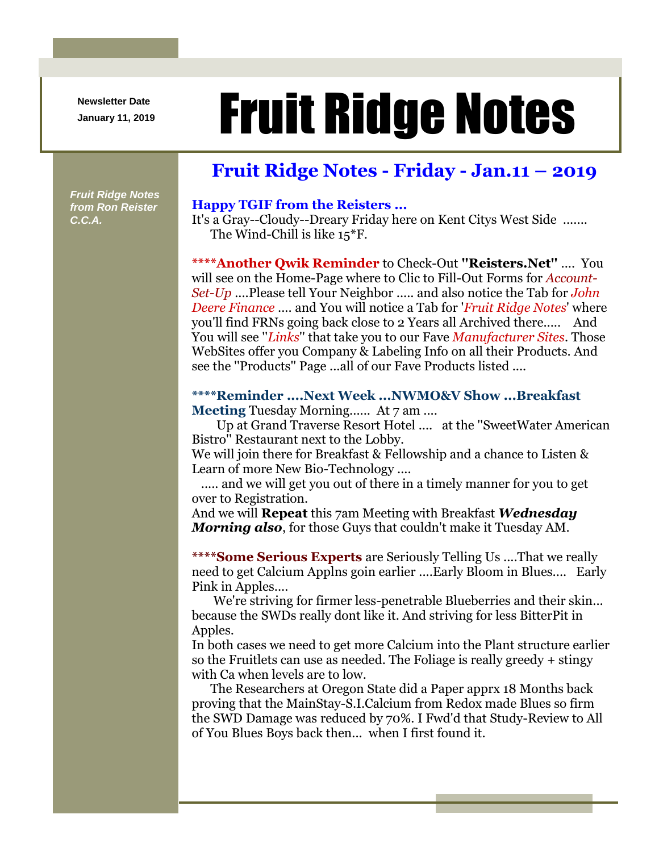**Newsletter Date**

# Newsletter Date **Fruit Ridge Notes**

## **Fruit Ridge Notes - Friday - Jan.11 – 2019**

*Fruit Ridge Notes from Ron Reister C.C.A.*

#### **Happy TGIF from the Reisters ...**

It's a Gray--Cloudy--Dreary Friday here on Kent Citys West Side ....... The Wind-Chill is like 15\*F.

**\*\*\*\*Another Qwik Reminder** to Check-Out **''Reisters.Net''** .... You will see on the Home-Page where to Clic to Fill-Out Forms for *Account-Set-Up* ....Please tell Your Neighbor ..... and also notice the Tab for *John Deere Finance* .... and You will notice a Tab for '*Fruit Ridge Notes*' where you'll find FRNs going back close to 2 Years all Archived there..... And You will see ''*Links*'' that take you to our Fave *Manufacturer Sites*. Those WebSites offer you Company & Labeling Info on all their Products. And see the ''Products'' Page ...all of our Fave Products listed ....

### **\*\*\*\*Reminder ....Next Week ...NWMO&V Show ...Breakfast**

**Meeting** Tuesday Morning...... At 7 am ....

Up at Grand Traverse Resort Hotel .... at the ''SweetWater American Bistro'' Restaurant next to the Lobby.

We will join there for Breakfast & Fellowship and a chance to Listen & Learn of more New Bio-Technology ....

..... and we will get you out of there in a timely manner for you to get over to Registration.

And we will **Repeat** this 7am Meeting with Breakfast *Wednesday Morning also*, for those Guys that couldn't make it Tuesday AM.

**\*\*\*\*Some Serious Experts** are Seriously Telling Us ....That we really need to get Calcium Applns goin earlier ....Early Bloom in Blues.... Early Pink in Apples....

We're striving for firmer less-penetrable Blueberries and their skin... because the SWDs really dont like it. And striving for less BitterPit in Apples.

In both cases we need to get more Calcium into the Plant structure earlier so the Fruitlets can use as needed. The Foliage is really greedy + stingy with Ca when levels are to low.

The Researchers at Oregon State did a Paper apprx 18 Months back proving that the MainStay-S.I.Calcium from Redox made Blues so firm the SWD Damage was reduced by 70%. I Fwd'd that Study-Review to All of You Blues Boys back then... when I first found it.